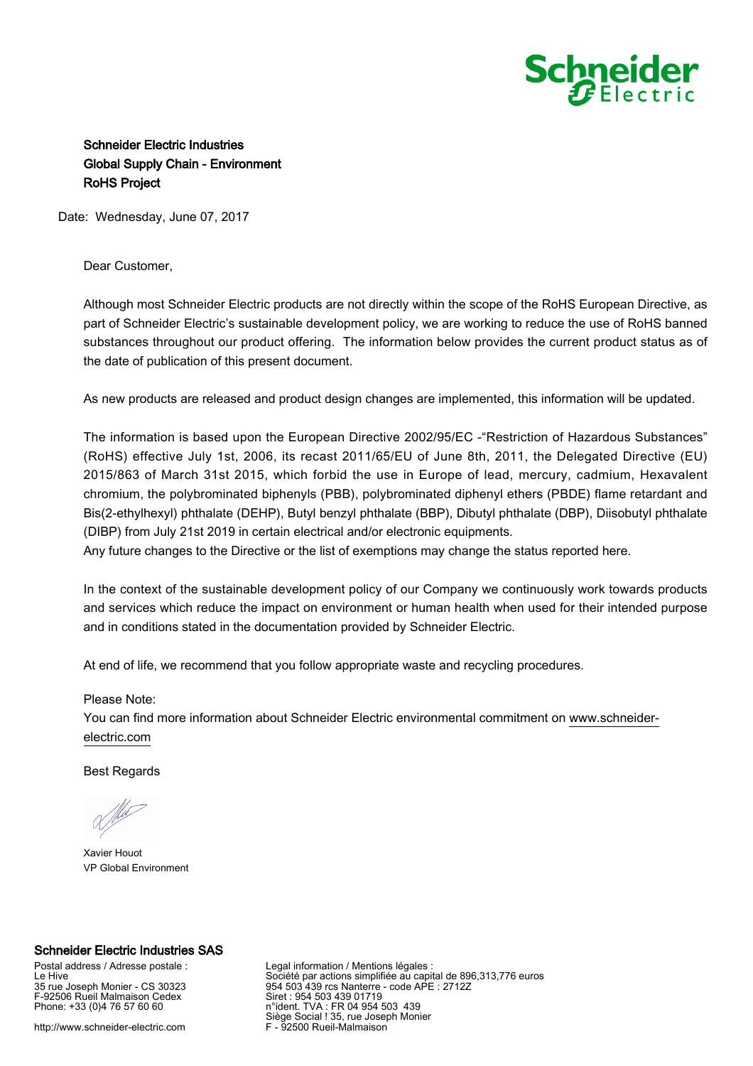

## Schneider Electric Industries Global Supply Chain - Environment RoHS Project

Date: Wednesday, June 07, 2017

Dear Customer,

Although most Schneider Electric products are not directly within the scope of the RoHS European Directive, as part of Schneider Electric's sustainable development policy, we are working to reduce the use of RoHS banned substances throughout our product offering. The information below provides the current product status as of the date of publication of this present document.

As new products are released and product design changes are implemented, this information will be updated.

The information is based upon the European Directive 2002/95/EC -"Restriction of Hazardous Substances" (RoHS) effective July 1st, 2006, its recast 2011/65/EU of June 8th, 2011, the Delegated Directive (EU) 2015/863 of March 31st 2015, which forbid the use in Europe of lead, mercury, cadmium, Hexavalent chromium, the polybrominated biphenyls (PBB), polybrominated diphenyl ethers (PBDE) flame retardant and Bis(2-ethylhexyl) phthalate (DEHP), Butyl benzyl phthalate (BBP), Dibutyl phthalate (DBP), Diisobutyl phthalate (DIBP) from July 21st 2019 in certain electrical and/or electronic equipments.

Any future changes to the Directive or the list of exemptions may change the status reported here.

In the context of the sustainable development policy of our Company we continuously work towards products and services which reduce the impact on environment or human health when used for their intended purpose and in conditions stated in the documentation provided by Schneider Electric.

At end of life, we recommend that you follow appropriate waste and recycling procedures.

## Please Note:

You can find more information about Schneider Electric environmental commitment on [www.schneider](https://www.schneider-electric.com)[electric.com](https://www.schneider-electric.com)

Best Regards

Xavier Houot VP Global Environment

## Schneider Electric Industries SAS

Postal address / Adresse postale : Le Hive 35 rue Joseph Monier - CS 30323 F-92506 Rueil Malmaison Cedex Phone: +33 (0)4 76 57 60 60

http://www.schneider-electric.com

Legal information / Mentions légales : Société par actions simplifiée au capital de 896,313,776 euros 954 503 439 rcs Nanterre - code APE : 2712Z Siret : 954 503 439 01719 n°ident. TVA : FR 04 954 503 439 Siège Social ! 35, rue Joseph Monier F - 92500 Rueil-Malmaison